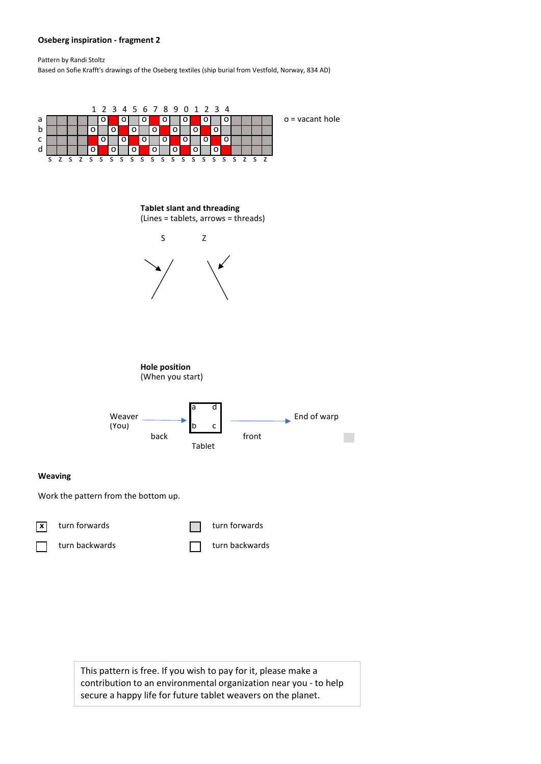## **Oseberg inspiration - fragment 2**

Pattern by Randi Stoltz

Based on Sofie Krafft's drawings of the Oseberg textiles (ship burial from Vestfold, Norway, 834 AD)



This pattern is free. If you wish to pay for it, please make a contribution to an environmental organization near you - to help secure a happy life for future tablet weavers on the planet.